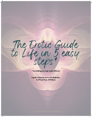The Erotic Guide to Life in 5 easy steps,

\*Just kidding your steps maybe different

A guide written by Jessica Jolie Badonsky for Private Parts of Wellness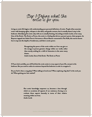Step 1: Define what the erotic is for you.

Living an erotic life begins with understanding your personal definition of erotic. People often associate erotic with bumping uglies, whispers in the dark, and gentle caresses, but it actually doesn't stay in the bedroom. Identifying the erotic only with sex is actually limiting. According to Audre Lorde, in her essay Uses of the Erotic: The Erotic as Power, the erotic is a feeling that drives a person's power, their purpose. As Beyonce tapped into Sasha Fierce's fierceness or Bruce Banner connected to The Hulk, the warrior knows how to tap into the depths of tenderness, and that is erotic power.

> Recognizing the power of the erotic within our lives can give us the energy to pursue genuine change within our world, rather than merely settling for a shift of characters in the same weary drama.

Audre Lorde, Uses of the Erotic: The Erotic as Power

If If you look carefully, you will find that the erotic exists in every aspect of your life, not just in the bedroom. But you need to realize its existence beyond the bedroom in order to recognize it.

Do you feel it when a song plays? When talking to loved ones? When exploring a big idea? In the work you do? When getting your hair washed?

> Our erotic knowledge empowers us, becomes a lens through which we scrutinize all aspects of our existence, forcing us to evaluate those aspects honestly in terms of their relative meaning within our lives. Audre Lorde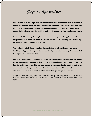Step 2 : Mindfulness

Being present to everything is a way to observe the erotic in any circumstance. Meditation is the answer for some, while movement is the answer for others. I have ADHD, so it took me a long time to meditate, to sit, to stay put, and to be okay with my wandering mind. Many people find meditation feels like a nightmare if the silence makes them recall their traumas.

You'll see that I am always looking for the most painless way to do things, because if the assignment is to sit and meditate for 40 minutes two times a day and only wear white in my sacred corner, then it isn't going to happen.

You might find mindfulness in reading the descriptions of a few dishes on a menu and thinking, oooh, ginger is so good, cilantro is so fresh, my mouth is watering. You're mindfully tapping into the erotic right there.

Meditation/mindfulness contributes to getting perspective around circumstances because of its erotic component, resulting in clarity and action. It can be as simple as square\* breathing, listening to binaural beats while you focus on your breathing, or finding a guided meditation, all free and as short as you can tolerate. You should know that meditation can lead to a kind of climaxing experience. Meditation is both hot and enlightening at the same time.

\*Square breathing is you create an equal pattern of breathing. Inhale for a count of 4, hold for a count of 4, exhaus for a count of 4, hold 4 count without breath. Then start again.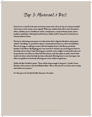## Step 3: Movement & Rest

If you live in a city like I do, then movement seems to be a form of rest. It is almost stressful not to move, not to create, not to expand. When you combine that with a career focused on others, whether you're a healthcare worker, entrepreneur, or stay-at-home parent, action produces satisfaction. Moving forward becomes a habit, and for many of us, it becomes an activity without a focus.

The key to cultivating erotic power is to take action that is aligned with desire and purpose without "shoulding" on yourself. In step 2, I mentioned movement as a form of meditation. This can be yoga, or walking in nature, like the bamboo forest in the Bronx, yes bisssh bamboo in the Bronx. By flapping your arms even for 3 minutes, you can bring your focus to the body and out of your head. Clearing your mind for erotic insight. I mentioned motion can be perceived as rest. Rest can often feel like laziness, and only a place to make a list of what needs to be done unless the body has been exhausted. Allowing time to rest, learning to rest, allows our guidance to be heard, allowing your erotic wisdom to guide you.

Unlike the Ben Franklin's quote, "There will be sleep enough in the grave", I prefer Tracee Stanley's call to action in her book Radiant Rest, "Now is the time for us to learn how to sleep and awaken to our power."

It is the power of rest that fortifies the power of erotica.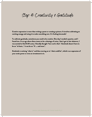Step 4: Creativity & Gratitude

Creative expression is more than writing a poem or creating a picture. It involves cultivating an exciting energy and using it to make something new. It's fucking lemonade!

To cultivate gratitude, sometimes you need to be creative. One day I needed a quarter, and I found two. In an age where there seems to be a shortage of coins, I don't get it, but whatever, I was excited to find 0.50 cents, I literally thought "how cool is that". Gratitude doesn't have to be an "at least..." it can be an "if .... and more".

Gratitude is noticing "what is" and then moving on to "what could be", which is an expression of your erotic power or even an investment in it.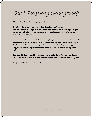Step 5: Recognizing Limiting Beliefs

What did these last 4 steps bring to your attention?

(Decades ago) a former mentor stated that "Can't lives on Won't street". Almost all of us resist change, even when we are attracted to it and it "feels right". Maybe you can recall a few foods or even sex acts that you may have thought were "gross" until you realized they were delicious.

The point here is that when you feel a spark to explore, to change and you hear the conflicts, the old voices listing all the logical "No's," I believe those messages are worth exploring. Are they false beliefs that limit your progress, keeping you stuck? Limiting ideas may promise to keep you safe, but actually they keep you from realizing the erotic in everything, erotic wisdom.

Observing this disconnect with your deepest desires and trying to fit into a mold that may not be yours buries that erotic wisdom. Many of us have buried that wisdom for a long time.

Now you have the chance to uncover it.